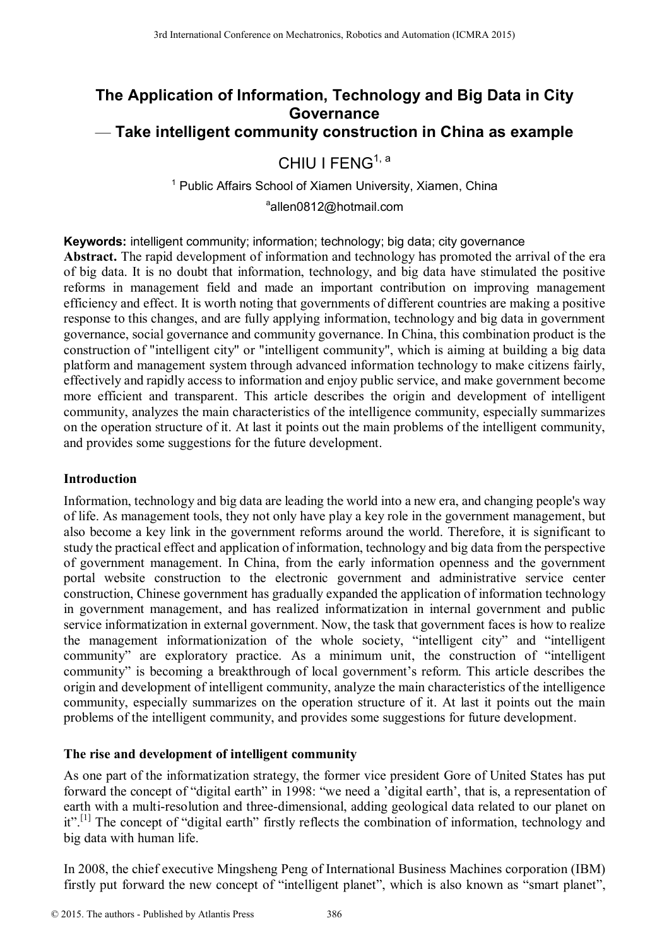# **The Application of Information, Technology and Big Data in City Governance**  — **Take intelligent community construction in China as example**

# CHIU I FENG<sup>1, a</sup>

<sup>1</sup> Public Affairs School of Xiamen University, Xiamen, China

a allen0812@hotmail.com

**Keywords:** intelligent community; information; technology; big data; city governance

**Abstract.** The rapid development of information and technology has promoted the arrival of the era of big data. It is no doubt that information, technology, and big data have stimulated the positive reforms in management field and made an important contribution on improving management efficiency and effect. It is worth noting that governments of different countries are making a positive response to this changes, and are fully applying information, technology and big data in government governance, social governance and community governance. In China, this combination product is the construction of "intelligent city" or "intelligent community", which is aiming at building a big data platform and management system through advanced information technology to make citizens fairly, effectively and rapidly access to information and enjoy public service, and make government become more efficient and transparent. This article describes the origin and development of intelligent community, analyzes the main characteristics of the intelligence community, especially summarizes on the operation structure of it. At last it points out the main problems of the intelligent community, and provides some suggestions for the future development.

# **Introduction**

Information, technology and big data are leading the world into a new era, and changing people's way of life. As management tools, they not only have play a key role in the government management, but also become a key link in the government reforms around the world. Therefore, it is significant to study the practical effect and application of information, technology and big data from the perspective of government management. In China, from the early information openness and the government portal website construction to the electronic government and administrative service center construction, Chinese government has gradually expanded the application of information technology in government management, and has realized informatization in internal government and public service informatization in external government. Now, the task that government faces is how to realize the management informationization of the whole society, "intelligent city" and "intelligent community" are exploratory practice. As a minimum unit, the construction of "intelligent community" is becoming a breakthrough of local government's reform. This article describes the origin and development of intelligent community, analyze the main characteristics of the intelligence community, especially summarizes on the operation structure of it. At last it points out the main problems of the intelligent community, and provides some suggestions for future development. From the electronic of the material Conference of Mechanics, Robotics and Automatic/VIA 2015.<br>
The Application of Information CHUI FENG<sup>5</sup> is <sup>2016</sup><sup>202</sup><sup>20</sup><sup>2</sup><sup>2</sup> <sup>1</sup> <sup>2</sup> Publis Affairs School of Name University, Xiamen,

# **The rise and development of intelligent community**

As one part of the informatization strategy, the former vice president Gore of United States has put forward the concept of "digital earth" in 1998: "we need a 'digital earth', that is, a representation of earth with a multi-resolution and three-dimensional, adding geological data related to our planet on it".<sup>[1]</sup> The concept of "digital earth" firstly reflects the combination of information, technology and big data with human life.

In 2008, the chief executive Mingsheng Peng of International Business Machines corporation (IBM) firstly put forward the new concept of "intelligent planet", which is also known as "smart planet",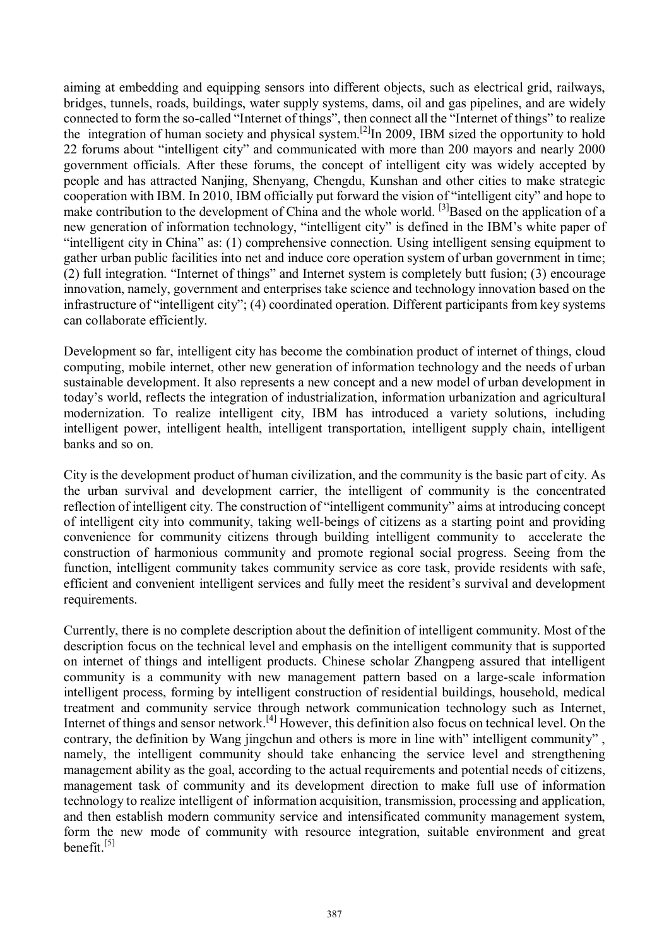aiming at embedding and equipping sensors into different objects, such as electrical grid, railways, bridges, tunnels, roads, buildings, water supply systems, dams, oil and gas pipelines, and are widely connected to form the so-called "Internet of things", then connect all the "Internet of things" to realize the integration of human society and physical system.<sup>[2]</sup>In 2009, IBM sized the opportunity to hold 22 forums about "intelligent city" and communicated with more than 200 mayors and nearly 2000 government officials. After these forums, the concept of intelligent city was widely accepted by people and has attracted Nanjing, Shenyang, Chengdu, Kunshan and other cities to make strategic cooperation with IBM. In 2010, IBM officially put forward the vision of "intelligent city" and hope to make contribution to the development of China and the whole world. <sup>[3]</sup>Based on the application of a new generation of information technology, "intelligent city" is defined in the IBM's white paper of "intelligent city in China" as: (1) comprehensive connection. Using intelligent sensing equipment to gather urban public facilities into net and induce core operation system of urban government in time; (2) full integration. "Internet of things" and Internet system is completely butt fusion; (3) encourage innovation, namely, government and enterprises take science and technology innovation based on the infrastructure of "intelligent city"; (4) coordinated operation. Different participants from key systems can collaborate efficiently.

Development so far, intelligent city has become the combination product of internet of things, cloud computing, mobile internet, other new generation of information technology and the needs of urban sustainable development. It also represents a new concept and a new model of urban development in today's world, reflects the integration of industrialization, information urbanization and agricultural modernization. To realize intelligent city, IBM has introduced a variety solutions, including intelligent power, intelligent health, intelligent transportation, intelligent supply chain, intelligent banks and so on.

City is the development product of human civilization, and the community is the basic part of city. As the urban survival and development carrier, the intelligent of community is the concentrated reflection of intelligent city. The construction of "intelligent community" aims at introducing concept of intelligent city into community, taking well-beings of citizens as a starting point and providing convenience for community citizens through building intelligent community to accelerate the construction of harmonious community and promote regional social progress. Seeing from the function, intelligent community takes community service as core task, provide residents with safe, efficient and convenient intelligent services and fully meet the resident's survival and development requirements.

Currently, there is no complete description about the definition of intelligent community. Most of the description focus on the technical level and emphasis on the intelligent community that is supported on internet of things and intelligent products. Chinese scholar Zhangpeng assured that intelligent community is a community with new management pattern based on a large-scale information intelligent process, forming by intelligent construction of residential buildings, household, medical treatment and community service through network communication technology such as Internet, Internet of things and sensor network.[4] However, this definition also focus on technical level. On the contrary, the definition by Wang jingchun and others is more in line with" intelligent community" , namely, the intelligent community should take enhancing the service level and strengthening management ability as the goal, according to the actual requirements and potential needs of citizens, management task of community and its development direction to make full use of information technology to realize intelligent of information acquisition, transmission, processing and application, and then establish modern community service and intensificated community management system, form the new mode of community with resource integration, suitable environment and great benefit. $[5]$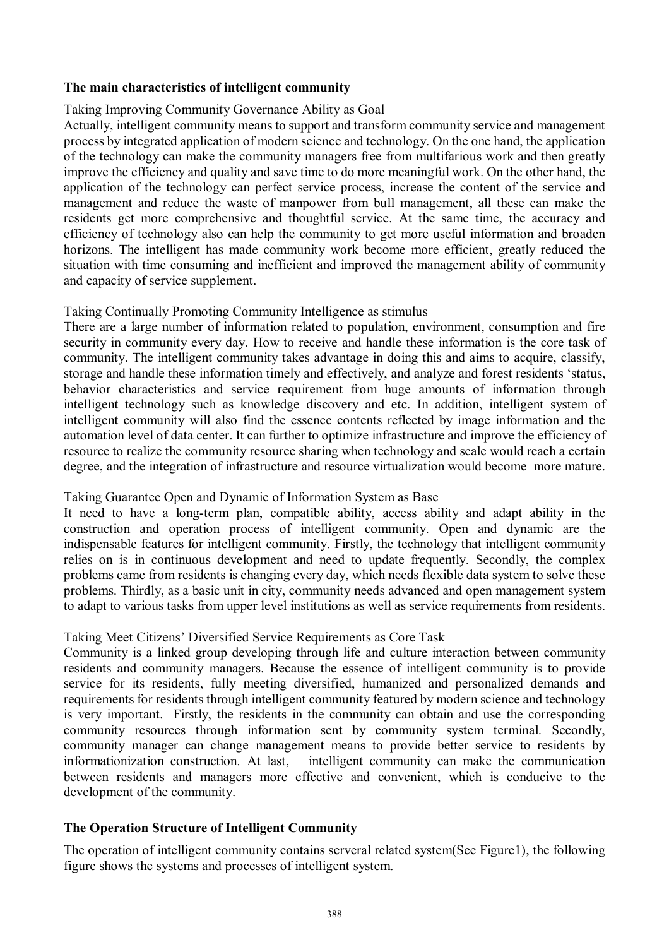#### **The main characteristics of intelligent community**

#### Taking Improving Community Governance Ability as Goal

Actually, intelligent community means to support and transform community service and management process by integrated application of modern science and technology. On the one hand, the application of the technology can make the community managers free from multifarious work and then greatly improve the efficiency and quality and save time to do more meaningful work. On the other hand, the application of the technology can perfect service process, increase the content of the service and management and reduce the waste of manpower from bull management, all these can make the residents get more comprehensive and thoughtful service. At the same time, the accuracy and efficiency of technology also can help the community to get more useful information and broaden horizons. The intelligent has made community work become more efficient, greatly reduced the situation with time consuming and inefficient and improved the management ability of community and capacity of service supplement.

#### Taking Continually Promoting Community Intelligence as stimulus

There are a large number of information related to population, environment, consumption and fire security in community every day. How to receive and handle these information is the core task of community. The intelligent community takes advantage in doing this and aims to acquire, classify, storage and handle these information timely and effectively, and analyze and forest residents 'status, behavior characteristics and service requirement from huge amounts of information through intelligent technology such as knowledge discovery and etc. In addition, intelligent system of intelligent community will also find the essence contents reflected by image information and the automation level of data center. It can further to optimize infrastructure and improve the efficiency of resource to realize the community resource sharing when technology and scale would reach a certain degree, and the integration of infrastructure and resource virtualization would become more mature.

# Taking Guarantee Open and Dynamic of Information System as Base

It need to have a long-term plan, compatible ability, access ability and adapt ability in the construction and operation process of intelligent community. Open and dynamic are the indispensable features for intelligent community. Firstly, the technology that intelligent community relies on is in continuous development and need to update frequently. Secondly, the complex problems came from residents is changing every day, which needs flexible data system to solve these problems. Thirdly, as a basic unit in city, community needs advanced and open management system to adapt to various tasks from upper level institutions as well as service requirements from residents.

#### Taking Meet Citizens' Diversified Service Requirements as Core Task

Community is a linked group developing through life and culture interaction between community residents and community managers. Because the essence of intelligent community is to provide service for its residents, fully meeting diversified, humanized and personalized demands and requirements for residents through intelligent community featured by modern science and technology is very important. Firstly, the residents in the community can obtain and use the corresponding community resources through information sent by community system terminal. Secondly, community manager can change management means to provide better service to residents by informationization construction. At last, intelligent community can make the communication between residents and managers more effective and convenient, which is conducive to the development of the community.

# **The Operation Structure of Intelligent Community**

The operation of intelligent community contains serveral related system(See Figure1), the following figure shows the systems and processes of intelligent system.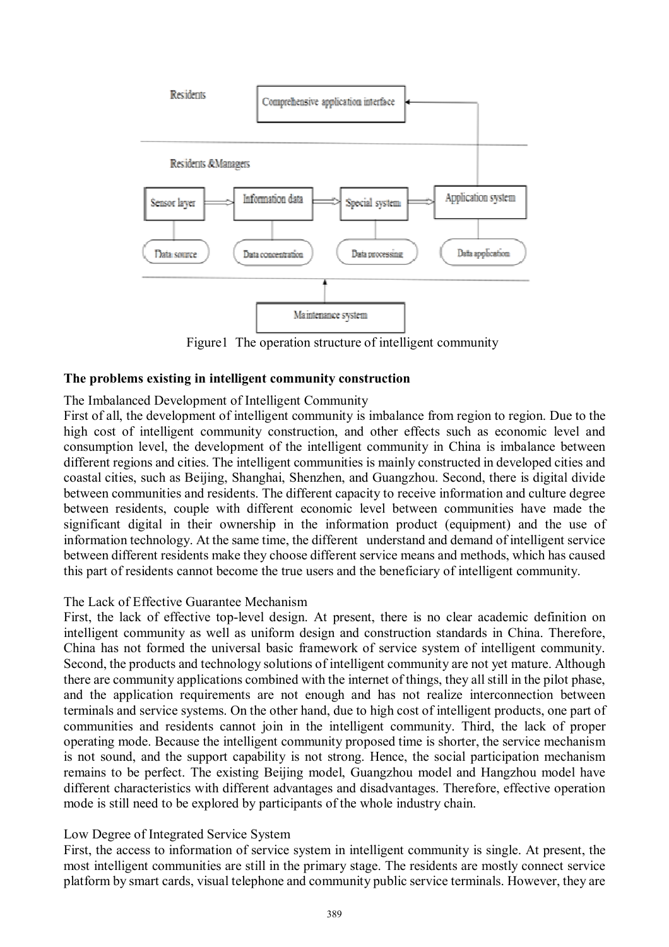

Figure1 The operation structure of intelligent community

#### **The problems existing in intelligent community construction**

#### The Imbalanced Development of Intelligent Community

First of all, the development of intelligent community is imbalance from region to region. Due to the high cost of intelligent community construction, and other effects such as economic level and consumption level, the development of the intelligent community in China is imbalance between different regions and cities. The intelligent communities is mainly constructed in developed cities and coastal cities, such as Beijing, Shanghai, Shenzhen, and Guangzhou. Second, there is digital divide between communities and residents. The different capacity to receive information and culture degree between residents, couple with different economic level between communities have made the significant digital in their ownership in the information product (equipment) and the use of information technology. At the same time, the different understand and demand of intelligent service between different residents make they choose different service means and methods, which has caused this part of residents cannot become the true users and the beneficiary of intelligent community.

#### The Lack of Effective Guarantee Mechanism

First, the lack of effective top-level design. At present, there is no clear academic definition on intelligent community as well as uniform design and construction standards in China. Therefore, China has not formed the universal basic framework of service system of intelligent community. Second, the products and technology solutions of intelligent community are not yet mature. Although there are community applications combined with the internet of things, they all still in the pilot phase, and the application requirements are not enough and has not realize interconnection between terminals and service systems. On the other hand, due to high cost of intelligent products, one part of communities and residents cannot join in the intelligent community. Third, the lack of proper operating mode. Because the intelligent community proposed time is shorter, the service mechanism is not sound, and the support capability is not strong. Hence, the social participation mechanism remains to be perfect. The existing Beijing model, Guangzhou model and Hangzhou model have different characteristics with different advantages and disadvantages. Therefore, effective operation mode is still need to be explored by participants of the whole industry chain.

#### Low Degree of Integrated Service System

First, the access to information of service system in intelligent community is single. At present, the most intelligent communities are still in the primary stage. The residents are mostly connect service platform by smart cards, visual telephone and community public service terminals. However, they are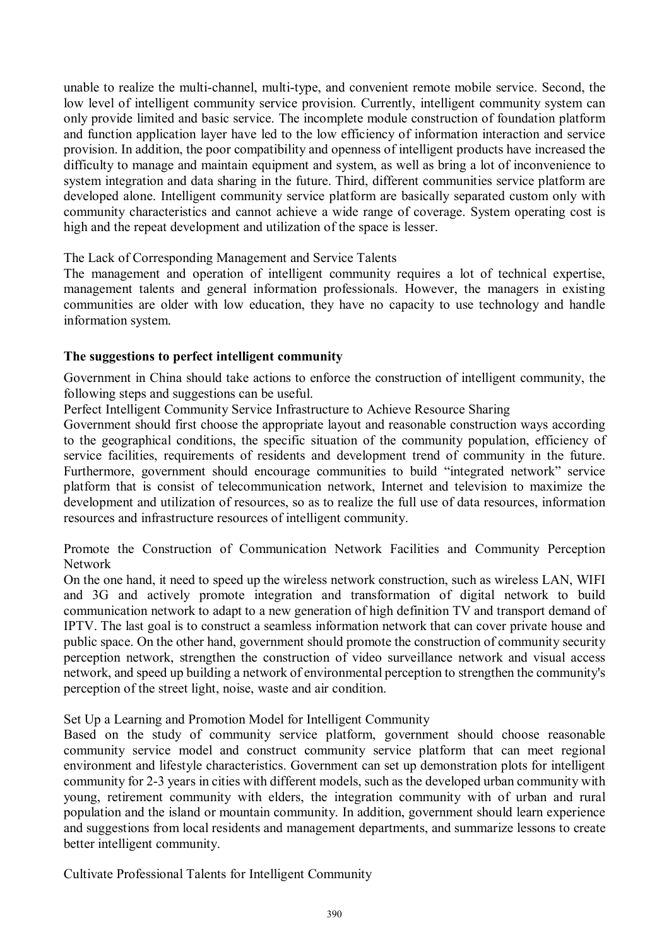unable to realize the multi-channel, multi-type, and convenient remote mobile service. Second, the low level of intelligent community service provision. Currently, intelligent community system can only provide limited and basic service. The incomplete module construction of foundation platform and function application layer have led to the low efficiency of information interaction and service provision. In addition, the poor compatibility and openness of intelligent products have increased the difficulty to manage and maintain equipment and system, as well as bring a lot of inconvenience to system integration and data sharing in the future. Third, different communities service platform are developed alone. Intelligent community service platform are basically separated custom only with community characteristics and cannot achieve a wide range of coverage. System operating cost is high and the repeat development and utilization of the space is lesser.

# The Lack of Corresponding Management and Service Talents

The management and operation of intelligent community requires a lot of technical expertise, management talents and general information professionals. However, the managers in existing communities are older with low education, they have no capacity to use technology and handle information system.

#### **The suggestions to perfect intelligent community**

Government in China should take actions to enforce the construction of intelligent community, the following steps and suggestions can be useful.

Perfect Intelligent Community Service Infrastructure to Achieve Resource Sharing

Government should first choose the appropriate layout and reasonable construction ways according to the geographical conditions, the specific situation of the community population, efficiency of service facilities, requirements of residents and development trend of community in the future. Furthermore, government should encourage communities to build "integrated network" service platform that is consist of telecommunication network, Internet and television to maximize the development and utilization of resources, so as to realize the full use of data resources, information resources and infrastructure resources of intelligent community.

Promote the Construction of Communication Network Facilities and Community Perception Network

On the one hand, it need to speed up the wireless network construction, such as wireless LAN, WIFI and 3G and actively promote integration and transformation of digital network to build communication network to adapt to a new generation of high definition TV and transport demand of IPTV. The last goal is to construct a seamless information network that can cover private house and public space. On the other hand, government should promote the construction of community security perception network, strengthen the construction of video surveillance network and visual access network, and speed up building a network of environmental perception to strengthen the community's perception of the street light, noise, waste and air condition.

# Set Up a Learning and Promotion Model for Intelligent Community

Based on the study of community service platform, government should choose reasonable community service model and construct community service platform that can meet regional environment and lifestyle characteristics. Government can set up demonstration plots for intelligent community for 2-3 years in cities with different models, such as the developed urban community with young, retirement community with elders, the integration community with of urban and rural population and the island or mountain community. In addition, government should learn experience and suggestions from local residents and management departments, and summarize lessons to create better intelligent community.

Cultivate Professional Talents for Intelligent Community